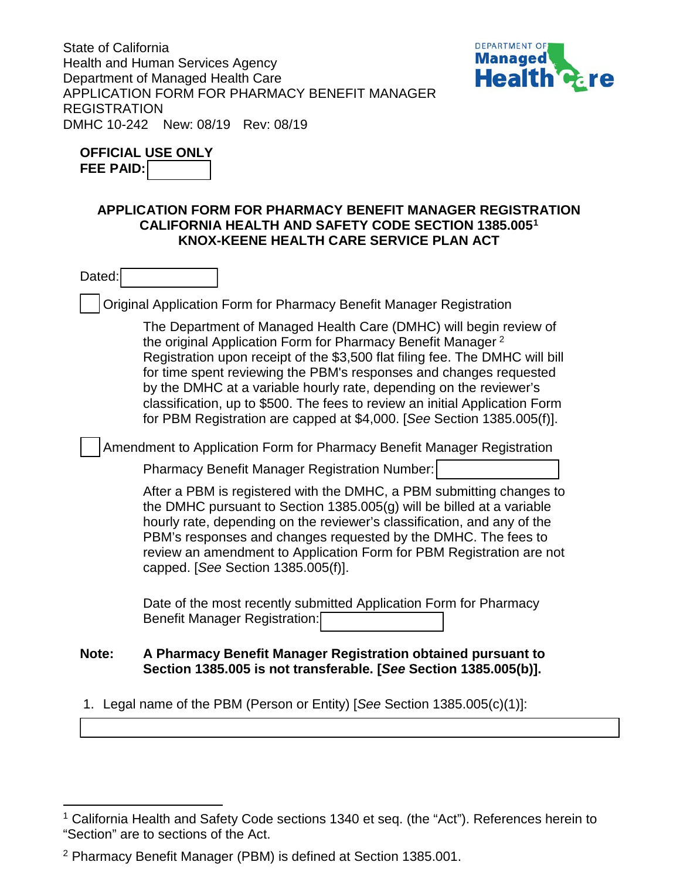State of California Health and Human Services Agency Department of Managed Health Care APPLICATION FORM FOR PHARMACY BENEFIT MANAGER REGISTRATION DMHC 10-242 New: 08/19 Rev: 08/19



| <b>OFFICIAL USE ONLY</b> |  |
|--------------------------|--|
| <b>FEE PAID:</b>         |  |

# **APPLICATION FORM FOR PHARMACY BENEFIT MANAGER REGISTRATION CALIFORNIA HEALTH AND SAFETY CODE SECTION 1385.0051 KNOX-KEENE HEALTH CARE SERVICE PLAN ACT**

Dated:

Original Application Form for Pharmacy Benefit Manager Registration

The Department of Managed Health Care (DMHC) will begin review of the original Application Form for Pharmacy Benefit Manager<sup>2</sup> Registration upon receipt of the \$3,500 flat filing fee. The DMHC will bill for time spent reviewing the PBM's responses and changes requested by the DMHC at a variable hourly rate, depending on the reviewer's classification, up to \$500. The fees to review an initial Application Form for PBM Registration are capped at \$4,000. [*See* Section 1385.005(f)].

Amendment to Application Form for Pharmacy Benefit Manager Registration

Pharmacy Benefit Manager Registration Number:

After a PBM is registered with the DMHC, a PBM submitting changes to the DMHC pursuant to Section 1385.005(g) will be billed at a variable hourly rate, depending on the reviewer's classification, and any of the PBM's responses and changes requested by the DMHC. The fees to review an amendment to Application Form for PBM Registration are not capped. [*See* Section 1385.005(f)].

Date of the most recently submitted Application Form for Pharmacy Benefit Manager Registration:

#### **Note: A Pharmacy Benefit Manager Registration obtained pursuant to Section 1385.005 is not transferable. [***See* **Section 1385.005(b)].**

1. Legal name of the PBM (Person or Entity) [*See* Section 1385.005(c)(1)]:

<sup>&</sup>lt;sup>1</sup> California Health and Safety Code sections 1340 et seq. (the "Act"). References herein to "Section" are to sections of the Act.  $\overline{a}$ 

<sup>2</sup> Pharmacy Benefit Manager (PBM) is defined at Section 1385.001.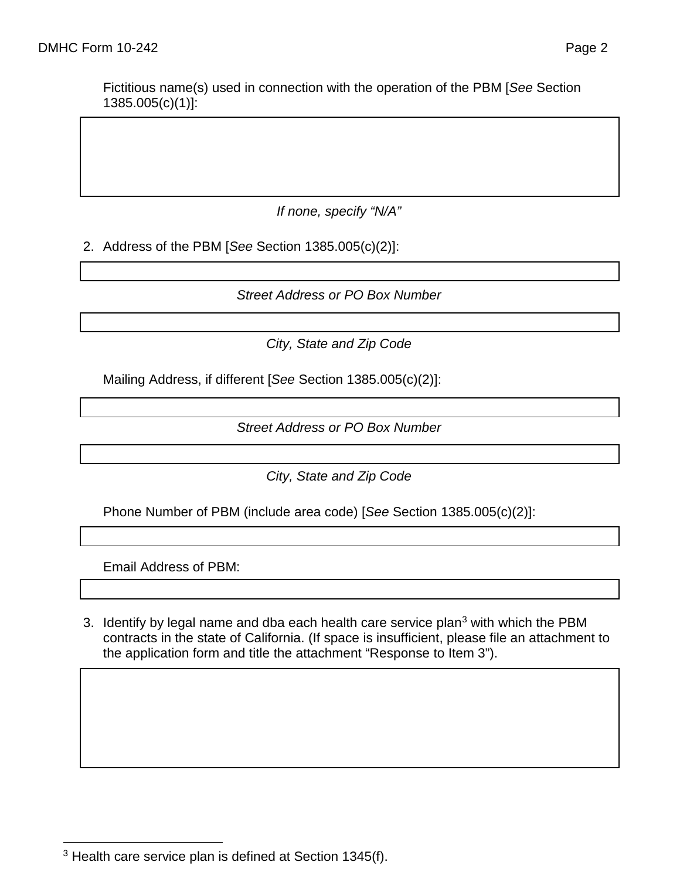Fictitious name(s) used in connection with the operation of the PBM [*See* Section 1385.005(c)(1)]:

*If none, specify "N/A"*

2. Address of the PBM [*See* Section 1385.005(c)(2)]:

*Street Address or PO Box Number*

*City, State and Zip Code*

Mailing Address, if different [*See* Section 1385.005(c)(2)]:

*Street Address or PO Box Number*

*City, State and Zip Code*

Phone Number of PBM (include area code) [*See* Section 1385.005(c)(2)]:

Email Address of PBM:

3. Identify by legal name and dba each health care service plan<sup>3</sup> with which the PBM contracts in the state of California. (If space is insufficient, please file an attachment to the application form and title the attachment "Response to Item 3").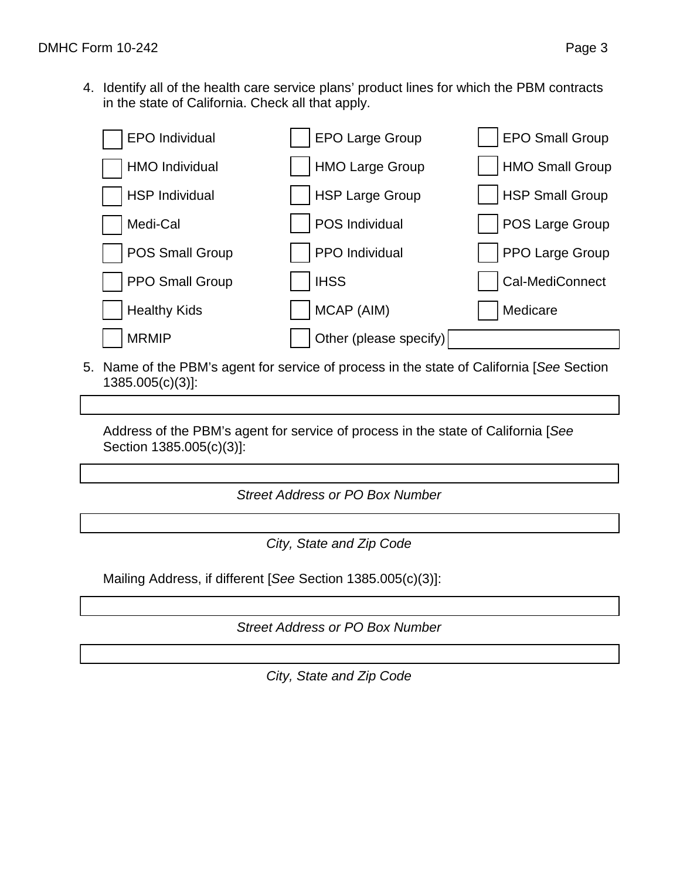4. Identify all of the health care service plans' product lines for which the PBM contracts in the state of California. Check all that apply.

| <b>EPO</b> Individual | <b>EPO Large Group</b> | <b>EPO Small Group</b> |
|-----------------------|------------------------|------------------------|
| HMO Individual        | <b>HMO Large Group</b> | <b>HMO Small Group</b> |
| <b>HSP Individual</b> | <b>HSP Large Group</b> | <b>HSP Small Group</b> |
| Medi-Cal              | POS Individual         | POS Large Group        |
| POS Small Group       | PPO Individual         | PPO Large Group        |
| PPO Small Group       | <b>IHSS</b>            | Cal-MediConnect        |
| <b>Healthy Kids</b>   | MCAP (AIM)             | Medicare               |
| <b>MRMIP</b>          | Other (please specify) |                        |

5. Name of the PBM's agent for service of process in the state of California [*See* Section 1385.005(c)(3)]:

Address of the PBM's agent for service of process in the state of California [*See* Section 1385.005(c)(3)]:

*Street Address or PO Box Number*

*City, State and Zip Code*

Mailing Address, if different [*See* Section 1385.005(c)(3)]:

*Street Address or PO Box Number*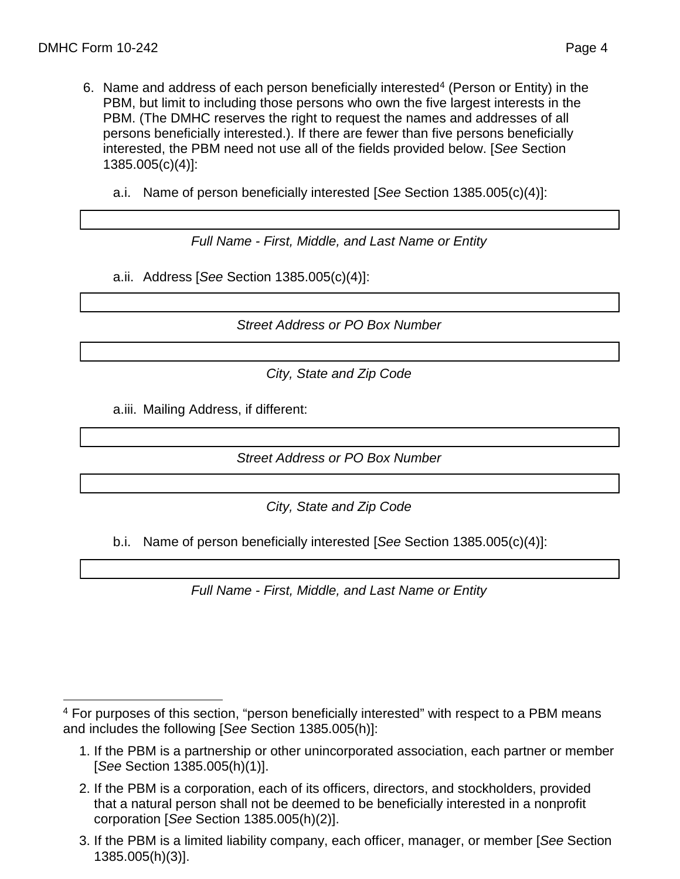- 6. Name and address of each person beneficially interested<sup>4</sup> (Person or Entity) in the PBM, but limit to including those persons who own the five largest interests in the PBM. (The DMHC reserves the right to request the names and addresses of all persons beneficially interested.). If there are fewer than five persons beneficially interested, the PBM need not use all of the fields provided below. [*See* Section 1385.005(c)(4)]:
	- a.i. Name of person beneficially interested [*See* Section 1385.005(c)(4)]:

*Full Name - First, Middle, and Last Name or Entity*

a.ii. Address [*See* Section 1385.005(c)(4)]:

*Street Address or PO Box Number*

*City, State and Zip Code*

a.iii. Mailing Address, if different:

*Street Address or PO Box Number*

*City, State and Zip Code*

b.i. Name of person beneficially interested [*See* Section 1385.005(c)(4)]:

*Full Name - First, Middle, and Last Name or Entity*

- 1. If the PBM is a partnership or other unincorporated association, each partner or member [*See* Section 1385.005(h)(1)].
- 2. If the PBM is a corporation, each of its officers, directors, and stockholders, provided that a natural person shall not be deemed to be beneficially interested in a nonprofit corporation [*See* Section 1385.005(h)(2)].
- 3. If the PBM is a limited liability company, each officer, manager, or member [*See* Section 1385.005(h)(3)].

<sup>&</sup>lt;sup>4</sup> For purposes of this section, "person beneficially interested" with respect to a PBM means and includes the following [*See* Section 1385.005(h)]:  $\overline{a}$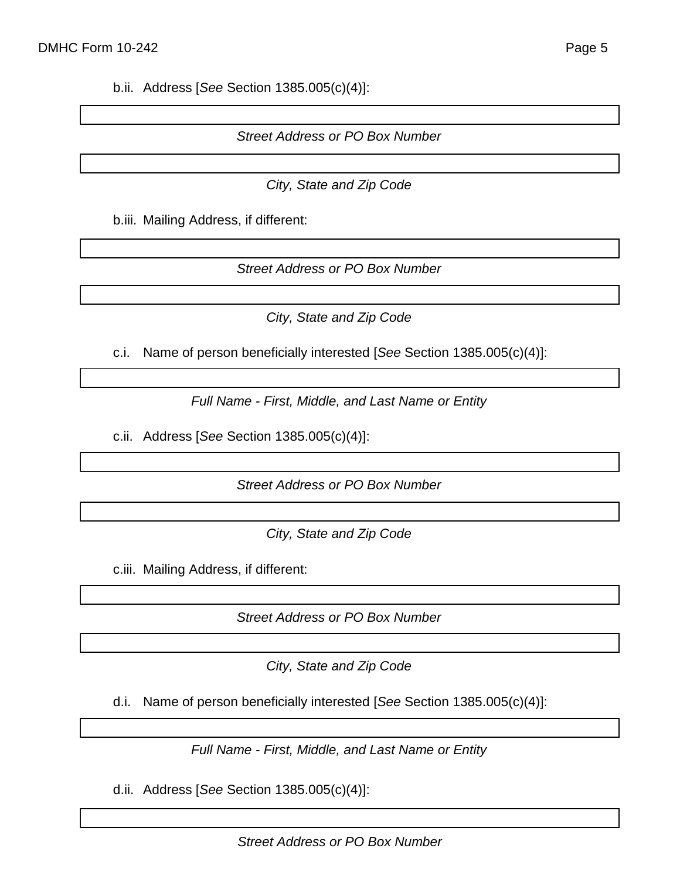b.ii. Address [*See* Section 1385.005(c)(4)]:

#### *Street Address or PO Box Number*

*City, State and Zip Code*

b.iii. Mailing Address, if different:

*Street Address or PO Box Number*

*City, State and Zip Code*

c.i. Name of person beneficially interested [*See* Section 1385.005(c)(4)]:

*Full Name - First, Middle, and Last Name or Entity*

c.ii. Address [*See* Section 1385.005(c)(4)]:

*Street Address or PO Box Number*

*City, State and Zip Code*

c.iii. Mailing Address, if different:

*Street Address or PO Box Number*

*City, State and Zip Code*

d.i. Name of person beneficially interested [*See* Section 1385.005(c)(4)]:

*Full Name - First, Middle, and Last Name or Entity*

d.ii. Address [*See* Section 1385.005(c)(4)]: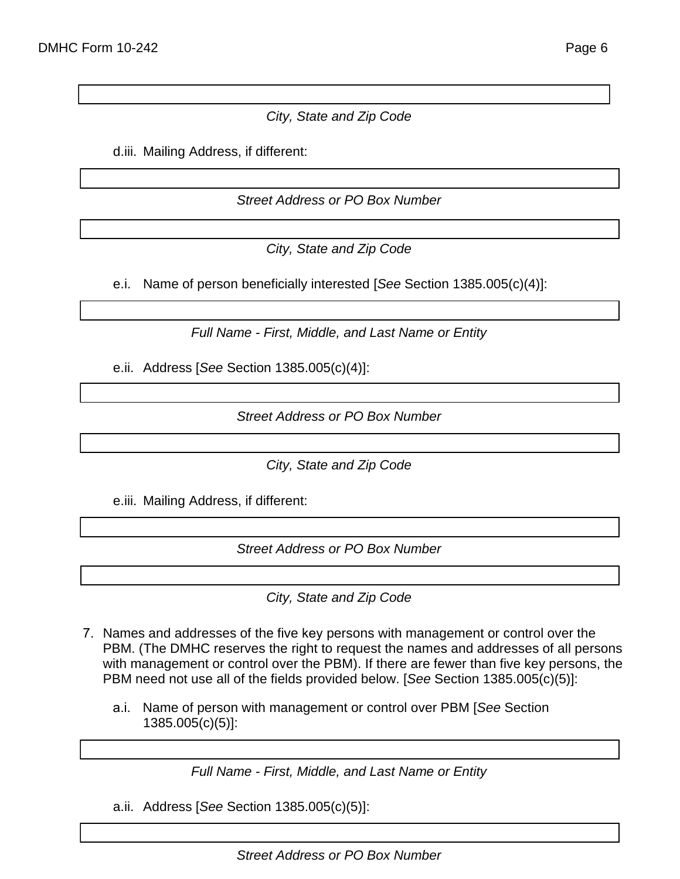## *City, State and Zip Code*

d.iii. Mailing Address, if different:

*Street Address or PO Box Number*

*City, State and Zip Code*

e.i. Name of person beneficially interested [*See* Section 1385.005(c)(4)]:

*Full Name - First, Middle, and Last Name or Entity*

e.ii. Address [*See* Section 1385.005(c)(4)]:

*Street Address or PO Box Number*

*City, State and Zip Code*

e.iii. Mailing Address, if different:

*Street Address or PO Box Number*

*City, State and Zip Code*

- 7. Names and addresses of the five key persons with management or control over the PBM. (The DMHC reserves the right to request the names and addresses of all persons with management or control over the PBM). If there are fewer than five key persons, the PBM need not use all of the fields provided below. [*See* Section 1385.005(c)(5)]:
	- a.i. Name of person with management or control over PBM [*See* Section 1385.005(c)(5)]:

*Full Name - First, Middle, and Last Name or Entity*

a.ii. Address [*See* Section 1385.005(c)(5)]:

*Street Address or PO Box Number*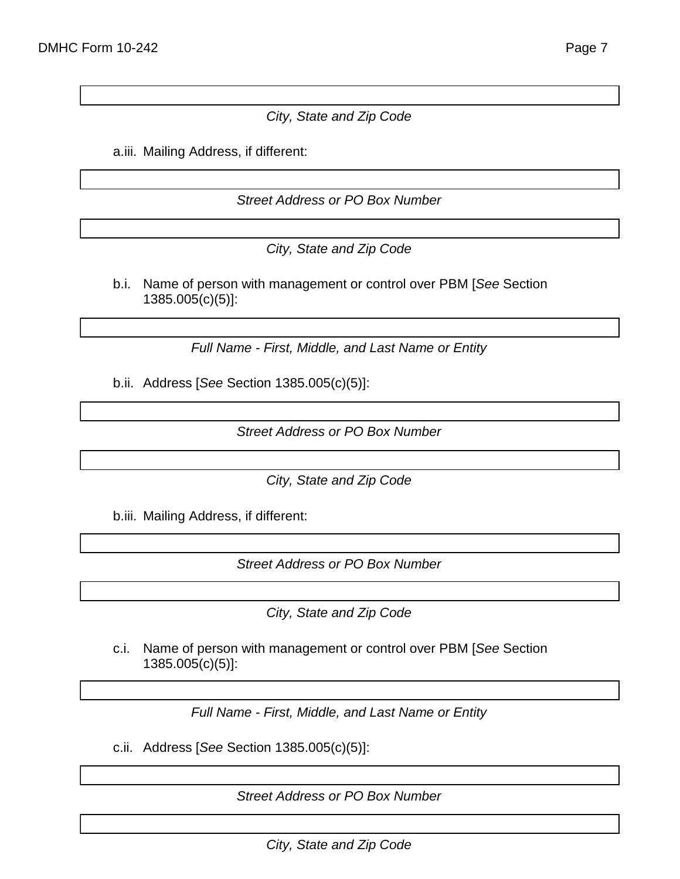#### *City, State and Zip Code*

a.iii. Mailing Address, if different:

*Street Address or PO Box Number*

*City, State and Zip Code*

b.i. Name of person with management or control over PBM [*See* Section 1385.005(c)(5)]:

*Full Name - First, Middle, and Last Name or Entity*

b.ii. Address [*See* Section 1385.005(c)(5)]:

*Street Address or PO Box Number*

*City, State and Zip Code*

b.iii. Mailing Address, if different:

*Street Address or PO Box Number*

*City, State and Zip Code*

c.i. Name of person with management or control over PBM [*See* Section 1385.005(c)(5)]:

*Full Name - First, Middle, and Last Name or Entity*

c.ii. Address [*See* Section 1385.005(c)(5)]:

*Street Address or PO Box Number*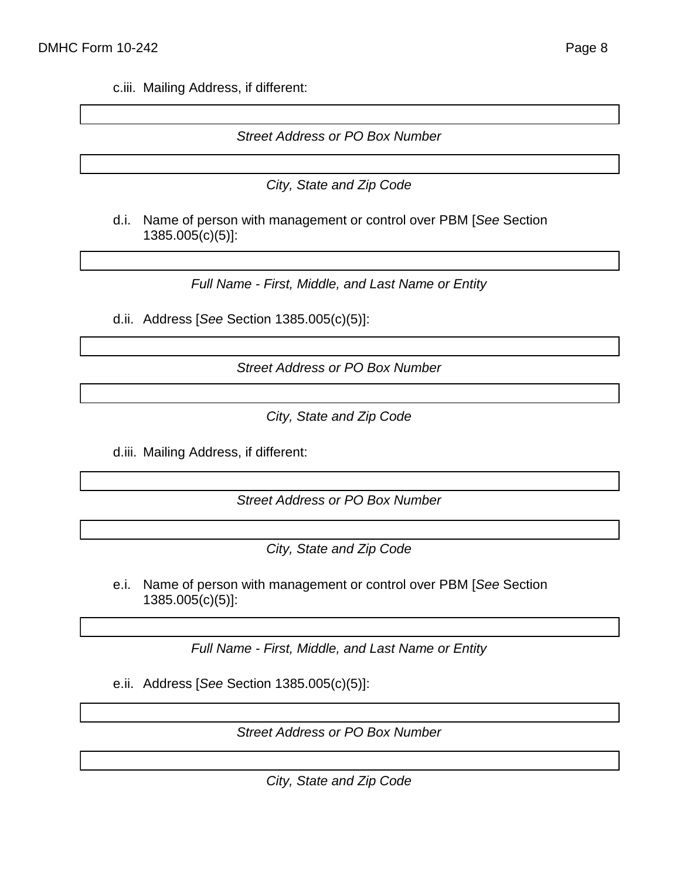c.iii. Mailing Address, if different:

#### *Street Address or PO Box Number*

- *City, State and Zip Code*
- d.i. Name of person with management or control over PBM [*See* Section 1385.005(c)(5)]:

*Full Name - First, Middle, and Last Name or Entity*

d.ii. Address [*See* Section 1385.005(c)(5)]:

*Street Address or PO Box Number*

*City, State and Zip Code*

d.iii. Mailing Address, if different:

*Street Address or PO Box Number*

*City, State and Zip Code*

e.i. Name of person with management or control over PBM [*See* Section 1385.005(c)(5)]:

*Full Name - First, Middle, and Last Name or Entity*

e.ii. Address [*See* Section 1385.005(c)(5)]:

*Street Address or PO Box Number*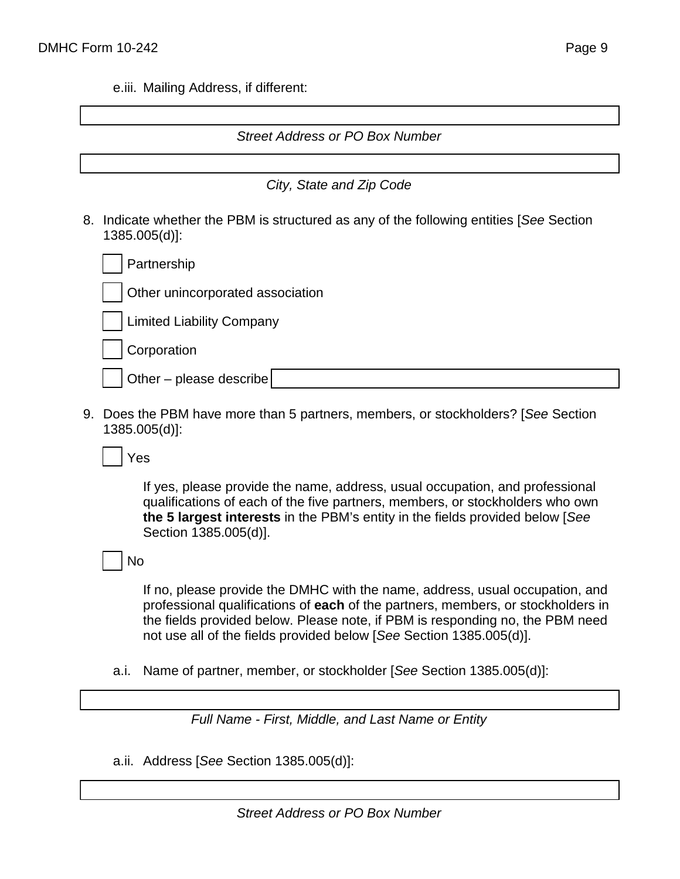e.iii. Mailing Address, if different:

| <b>Street Address or PO Box Number</b>                                                                     |
|------------------------------------------------------------------------------------------------------------|
|                                                                                                            |
|                                                                                                            |
| City, State and Zip Code                                                                                   |
| 8. Indicate whether the PBM is structured as any of the following entities [See Section<br>$1385.005(d)$ : |
| Partnership                                                                                                |
| Other unincorporated association                                                                           |
| <b>Limited Liability Company</b>                                                                           |
| Corporation                                                                                                |
| Other - please describe                                                                                    |
|                                                                                                            |

9. Does the PBM have more than 5 partners, members, or stockholders? [*See* Section 1385.005(d)]:

Yes

If yes, please provide the name, address, usual occupation, and professional qualifications of each of the five partners, members, or stockholders who own **the 5 largest interests** in the PBM's entity in the fields provided below [*See* Section 1385.005(d)].

No

If no, please provide the DMHC with the name, address, usual occupation, and professional qualifications of **each** of the partners, members, or stockholders in the fields provided below. Please note, if PBM is responding no, the PBM need not use all of the fields provided below [*See* Section 1385.005(d)].

a.i. Name of partner, member, or stockholder [*See* Section 1385.005(d)]:

*Full Name - First, Middle, and Last Name or Entity*

a.ii. Address [*See* Section 1385.005(d)]: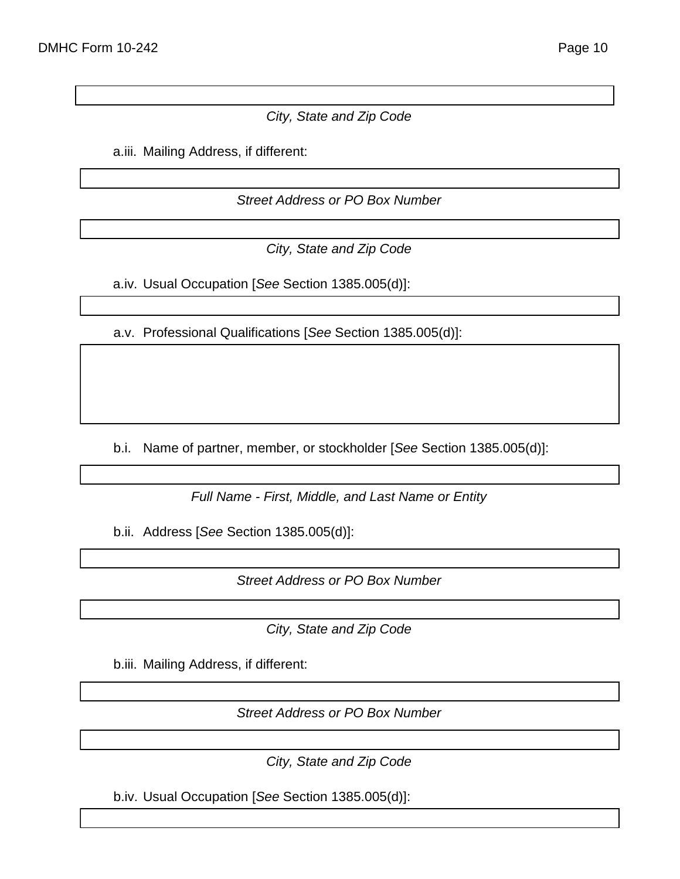## *City, State and Zip Code*

a.iii. Mailing Address, if different:

*Street Address or PO Box Number*

*City, State and Zip Code*

a.iv. Usual Occupation [*See* Section 1385.005(d)]:

a.v. Professional Qualifications [*See* Section 1385.005(d)]:

b.i. Name of partner, member, or stockholder [*See* Section 1385.005(d)]:

*Full Name - First, Middle, and Last Name or Entity*

b.ii. Address [*See* Section 1385.005(d)]:

*Street Address or PO Box Number*

*City, State and Zip Code*

b.iii. Mailing Address, if different:

*Street Address or PO Box Number*

*City, State and Zip Code*

b.iv. Usual Occupation [*See* Section 1385.005(d)]: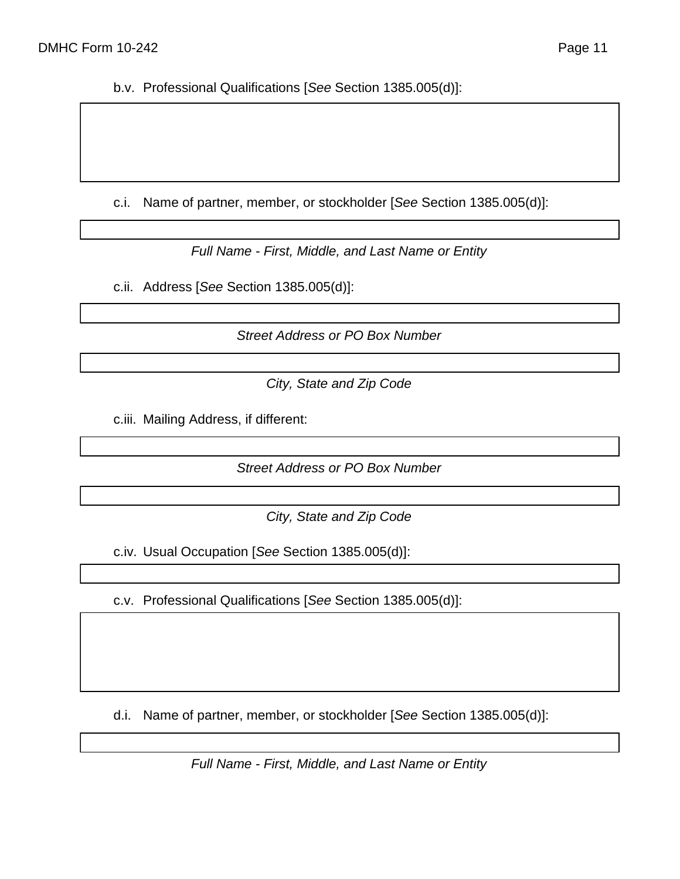b.v. Professional Qualifications [*See* Section 1385.005(d)]:

c.i. Name of partner, member, or stockholder [*See* Section 1385.005(d)]:

*Full Name - First, Middle, and Last Name or Entity*

c.ii. Address [*See* Section 1385.005(d)]:

*Street Address or PO Box Number*

*City, State and Zip Code*

c.iii. Mailing Address, if different:

*Street Address or PO Box Number*

*City, State and Zip Code*

c.iv. Usual Occupation [*See* Section 1385.005(d)]:

c.v. Professional Qualifications [*See* Section 1385.005(d)]:

d.i. Name of partner, member, or stockholder [*See* Section 1385.005(d)]:

*Full Name - First, Middle, and Last Name or Entity*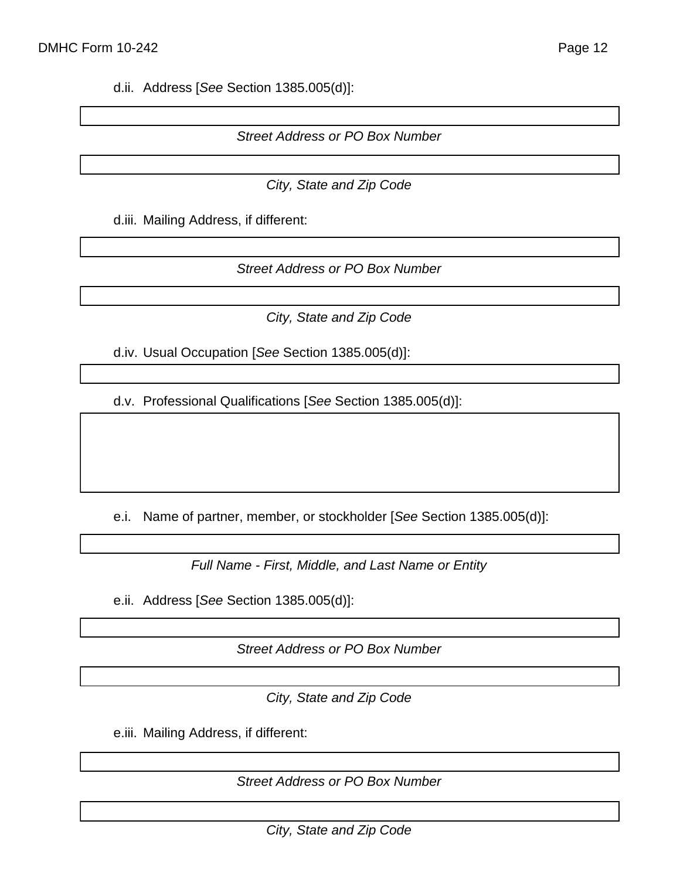d.ii. Address [*See* Section 1385.005(d)]:

*Street Address or PO Box Number*

*City, State and Zip Code*

d.iii. Mailing Address, if different:

*Street Address or PO Box Number*

*City, State and Zip Code*

d.iv. Usual Occupation [*See* Section 1385.005(d)]:

d.v. Professional Qualifications [*See* Section 1385.005(d)]:

e.i. Name of partner, member, or stockholder [*See* Section 1385.005(d)]:

*Full Name - First, Middle, and Last Name or Entity*

e.ii. Address [*See* Section 1385.005(d)]:

*Street Address or PO Box Number*

*City, State and Zip Code*

e.iii. Mailing Address, if different:

*Street Address or PO Box Number*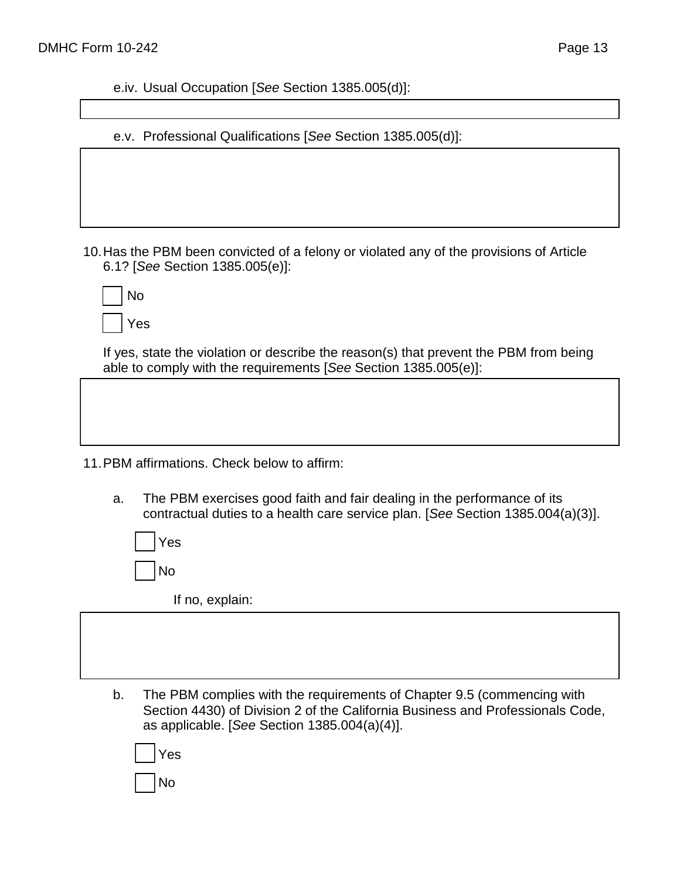e.iv. Usual Occupation [*See* Section 1385.005(d)]:

e.v. Professional Qualifications [*See* Section 1385.005(d)]:

10.Has the PBM been convicted of a felony or violated any of the provisions of Article 6.1? [*See* Section 1385.005(e)]:

| No      |
|---------|
| Y<br>es |

If yes, state the violation or describe the reason(s) that prevent the PBM from being able to comply with the requirements [*See* Section 1385.005(e)]:

11.PBM affirmations. Check below to affirm:

a. The PBM exercises good faith and fair dealing in the performance of its contractual duties to a health care service plan. [*See* Section 1385.004(a)(3)].

Yes No

If no, explain:

b. The PBM complies with the requirements of Chapter 9.5 (commencing with Section 4430) of Division 2 of the California Business and Professionals Code, as applicable. [*See* Section 1385.004(a)(4)].

| Yes |
|-----|
| No  |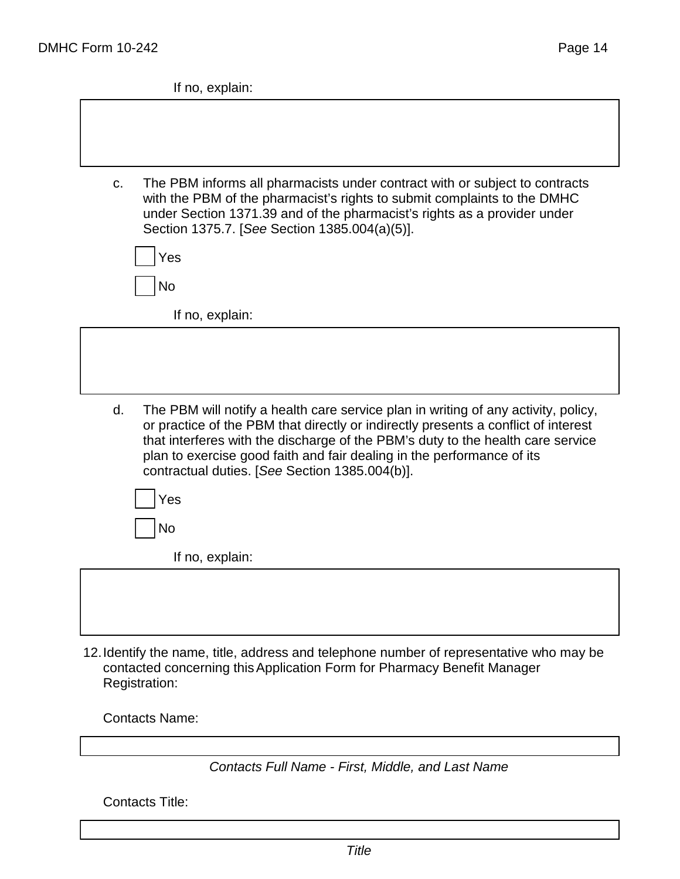If no, explain:

| C. | The PBM informs all pharmacists under contract with or subject to contracts<br>with the PBM of the pharmacist's rights to submit complaints to the DMHC<br>under Section 1371.39 and of the pharmacist's rights as a provider under<br>Section 1375.7. [See Section 1385.004(a)(5)].                                                                                                    |
|----|-----------------------------------------------------------------------------------------------------------------------------------------------------------------------------------------------------------------------------------------------------------------------------------------------------------------------------------------------------------------------------------------|
|    | Yes                                                                                                                                                                                                                                                                                                                                                                                     |
|    | <b>No</b>                                                                                                                                                                                                                                                                                                                                                                               |
|    | If no, explain:                                                                                                                                                                                                                                                                                                                                                                         |
|    |                                                                                                                                                                                                                                                                                                                                                                                         |
| d. | The PBM will notify a health care service plan in writing of any activity, policy,<br>or practice of the PBM that directly or indirectly presents a conflict of interest<br>that interferes with the discharge of the PBM's duty to the health care service<br>plan to exercise good faith and fair dealing in the performance of its<br>contractual duties. [See Section 1385.004(b)]. |
|    | Yes                                                                                                                                                                                                                                                                                                                                                                                     |
|    | No                                                                                                                                                                                                                                                                                                                                                                                      |
|    | If no, explain:                                                                                                                                                                                                                                                                                                                                                                         |
|    |                                                                                                                                                                                                                                                                                                                                                                                         |
|    |                                                                                                                                                                                                                                                                                                                                                                                         |
|    |                                                                                                                                                                                                                                                                                                                                                                                         |

12.Identify the name, title, address and telephone number of representative who may be contacted concerning thisApplication Form for Pharmacy Benefit Manager Registration:

Contacts Name:

## *Contacts Full Name - First, Middle, and Last Name*

Contacts Title: